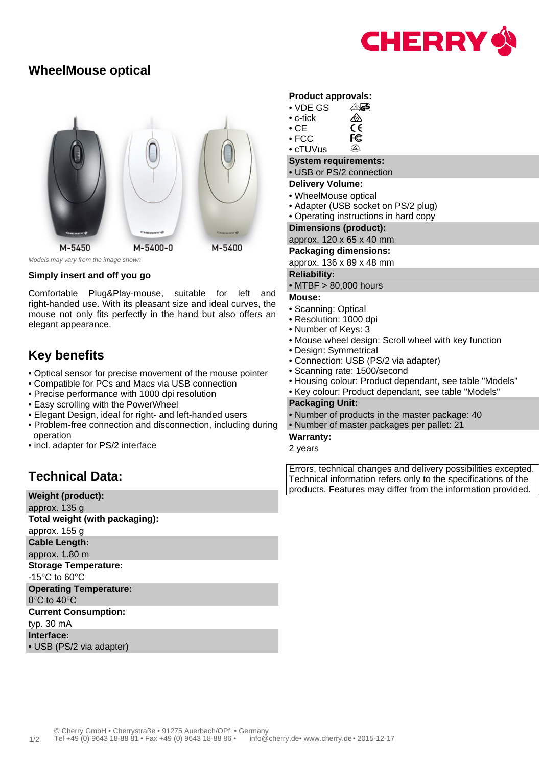

## **WheelMouse optical**



Models may vary from the image shown

#### **Simply insert and off you go**

Comfortable Plug&Play-mouse, suitable for left and right-handed use. With its pleasant size and ideal curves, the mouse not only fits perfectly in the hand but also offers an elegant appearance.

## **Key benefits**

- Optical sensor for precise movement of the mouse pointer
- Compatible for PCs and Macs via USB connection
- Precise performance with 1000 dpi resolution
- Easy scrolling with the PowerWheel
- Elegant Design, ideal for right- and left-handed users
- Problem-free connection and disconnection, including during operation
- incl. adapter for PS/2 interface

## **Technical Data:**

**Weight (product):** approx. 135 g **Total weight (with packaging):** approx. 155 g **Cable Length:** approx. 1.80 m **Storage Temperature:** -15°C to 60°C **Operating Temperature:** 0°C to 40°C **Current Consumption:** typ. 30 mA **Interface:** • USB (PS/2 via adapter)

### **Product approvals:**

- ⚠ • VDE GS
- c-tick
- CE
- FCC
- cTUVus
- **System requirements:**
- USB or PS/2 connection

⚠ C٤ **FC**  $\left( \widehat{\Delta }\right)$ 

### **Delivery Volume:**

- WheelMouse optical
- Adapter (USB socket on PS/2 plug)
- Operating instructions in hard copy

#### **Dimensions (product):**

approx. 120 x 65 x 40 mm

**Packaging dimensions:**

approx. 136 x 89 x 48 mm

## **Reliability:**

• MTBF > 80,000 hours

## **Mouse:**

- Scanning: Optical
- Resolution: 1000 dpi
- Number of Keys: 3
- Mouse wheel design: Scroll wheel with key function
- Design: Symmetrical
- Connection: USB (PS/2 via adapter)
- Scanning rate: 1500/second
- Housing colour: Product dependant, see table "Models"
- Key colour: Product dependant, see table "Models"
- **Packaging Unit:**
- Number of products in the master package: 40
- Number of master packages per pallet: 21

### **Warranty:**

2 years

Errors, technical changes and delivery possibilities excepted. Technical information refers only to the specifications of the products. Features may differ from the information provided.